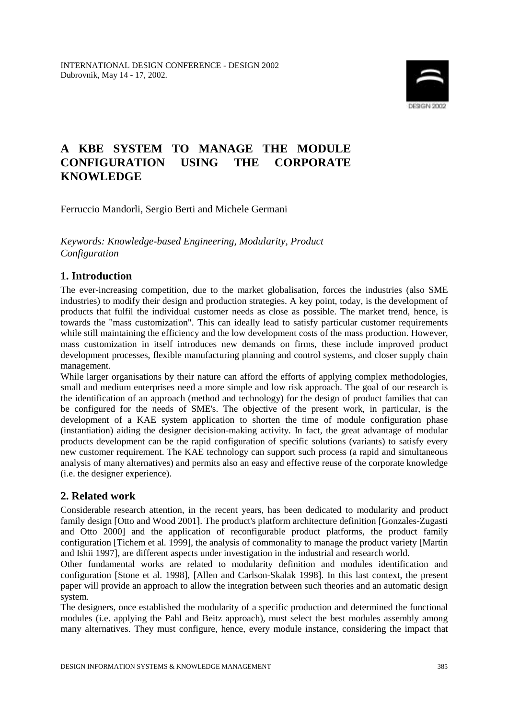

# **A KBE SYSTEM TO MANAGE THE MODULE CONFIGURATION USING THE CORPORATE KNOWLEDGE**

Ferruccio Mandorli, Sergio Berti and Michele Germani

*Keywords: Knowledge-based Engineering, Modularity, Product Configuration* 

# **1. Introduction**

The ever-increasing competition, due to the market globalisation, forces the industries (also SME industries) to modify their design and production strategies. A key point, today, is the development of products that fulfil the individual customer needs as close as possible. The market trend, hence, is towards the "mass customization". This can ideally lead to satisfy particular customer requirements while still maintaining the efficiency and the low development costs of the mass production. However, mass customization in itself introduces new demands on firms, these include improved product development processes, flexible manufacturing planning and control systems, and closer supply chain management.

While larger organisations by their nature can afford the efforts of applying complex methodologies, small and medium enterprises need a more simple and low risk approach. The goal of our research is the identification of an approach (method and technology) for the design of product families that can be configured for the needs of SME's. The objective of the present work, in particular, is the development of a KAE system application to shorten the time of module configuration phase (instantiation) aiding the designer decision-making activity. In fact, the great advantage of modular products development can be the rapid configuration of specific solutions (variants) to satisfy every new customer requirement. The KAE technology can support such process (a rapid and simultaneous analysis of many alternatives) and permits also an easy and effective reuse of the corporate knowledge (i.e. the designer experience).

# **2. Related work**

Considerable research attention, in the recent years, has been dedicated to modularity and product family design [Otto and Wood 2001]. The product's platform architecture definition [Gonzales-Zugasti and Otto 2000] and the application of reconfigurable product platforms, the product family configuration [Tichem et al. 1999], the analysis of commonality to manage the product variety [Martin and Ishii 1997], are different aspects under investigation in the industrial and research world.

Other fundamental works are related to modularity definition and modules identification and configuration [Stone et al. 1998], [Allen and Carlson-Skalak 1998]. In this last context, the present paper will provide an approach to allow the integration between such theories and an automatic design system.

The designers, once established the modularity of a specific production and determined the functional modules (i.e. applying the Pahl and Beitz approach), must select the best modules assembly among many alternatives. They must configure, hence, every module instance, considering the impact that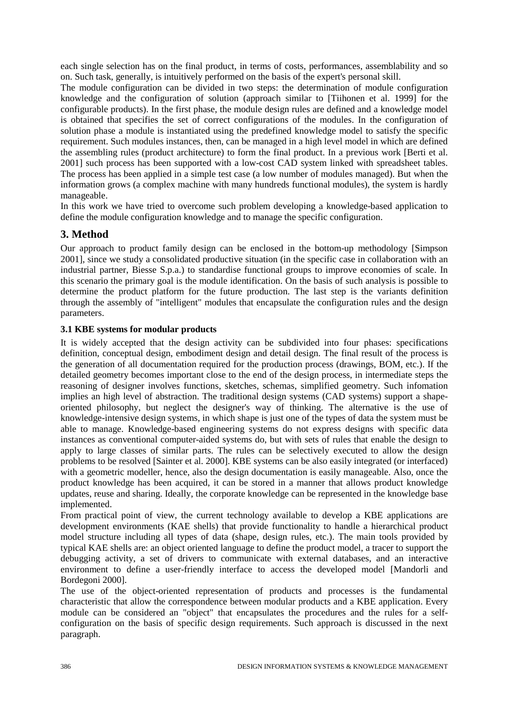each single selection has on the final product, in terms of costs, performances, assemblability and so on. Such task, generally, is intuitively performed on the basis of the expert's personal skill.

The module configuration can be divided in two steps: the determination of module configuration knowledge and the configuration of solution (approach similar to [Tiihonen et al. 1999] for the configurable products). In the first phase, the module design rules are defined and a knowledge model is obtained that specifies the set of correct configurations of the modules. In the configuration of solution phase a module is instantiated using the predefined knowledge model to satisfy the specific requirement. Such modules instances, then, can be managed in a high level model in which are defined the assembling rules (product architecture) to form the final product. In a previous work [Berti et al. 2001] such process has been supported with a low-cost CAD system linked with spreadsheet tables. The process has been applied in a simple test case (a low number of modules managed). But when the information grows (a complex machine with many hundreds functional modules), the system is hardly manageable.

In this work we have tried to overcome such problem developing a knowledge-based application to define the module configuration knowledge and to manage the specific configuration.

# **3. Method**

Our approach to product family design can be enclosed in the bottom-up methodology [Simpson 2001], since we study a consolidated productive situation (in the specific case in collaboration with an industrial partner, Biesse S.p.a.) to standardise functional groups to improve economies of scale. In this scenario the primary goal is the module identification. On the basis of such analysis is possible to determine the product platform for the future production. The last step is the variants definition through the assembly of "intelligent" modules that encapsulate the configuration rules and the design parameters.

### **3.1 KBE systems for modular products**

It is widely accepted that the design activity can be subdivided into four phases: specifications definition, conceptual design, embodiment design and detail design. The final result of the process is the generation of all documentation required for the production process (drawings, BOM, etc.). If the detailed geometry becomes important close to the end of the design process, in intermediate steps the reasoning of designer involves functions, sketches, schemas, simplified geometry. Such infomation implies an high level of abstraction. The traditional design systems (CAD systems) support a shapeoriented philosophy, but neglect the designer's way of thinking. The alternative is the use of knowledge-intensive design systems, in which shape is just one of the types of data the system must be able to manage. Knowledge-based engineering systems do not express designs with specific data instances as conventional computer-aided systems do, but with sets of rules that enable the design to apply to large classes of similar parts. The rules can be selectively executed to allow the design problems to be resolved [Sainter et al. 2000]. KBE systems can be also easily integrated (or interfaced) with a geometric modeller, hence, also the design documentation is easily manageable. Also, once the product knowledge has been acquired, it can be stored in a manner that allows product knowledge updates, reuse and sharing. Ideally, the corporate knowledge can be represented in the knowledge base implemented.

From practical point of view, the current technology available to develop a KBE applications are development environments (KAE shells) that provide functionality to handle a hierarchical product model structure including all types of data (shape, design rules, etc.). The main tools provided by typical KAE shells are: an object oriented language to define the product model, a tracer to support the debugging activity, a set of drivers to communicate with external databases, and an interactive environment to define a user-friendly interface to access the developed model [Mandorli and Bordegoni 2000].

The use of the object-oriented representation of products and processes is the fundamental characteristic that allow the correspondence between modular products and a KBE application. Every module can be considered an "object" that encapsulates the procedures and the rules for a selfconfiguration on the basis of specific design requirements. Such approach is discussed in the next paragraph.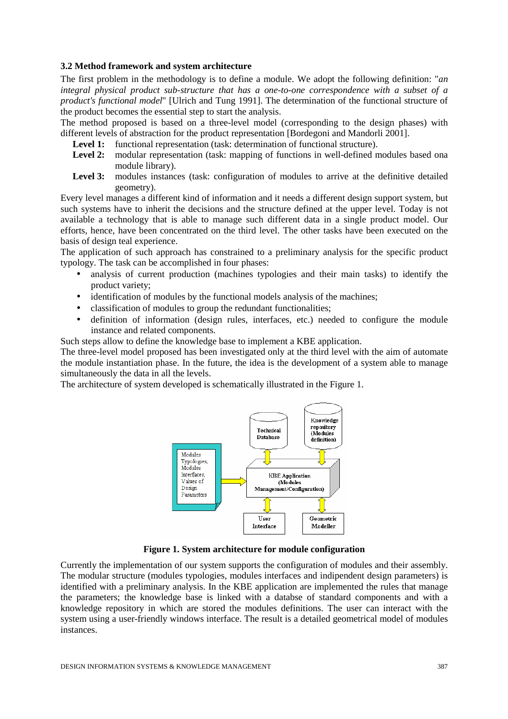#### **3.2 Method framework and system architecture**

The first problem in the methodology is to define a module. We adopt the following definition: "*an integral physical product sub-structure that has a one-to-one correspondence with a subset of a product's functional model*" [Ulrich and Tung 1991]. The determination of the functional structure of the product becomes the essential step to start the analysis.

The method proposed is based on a three-level model (corresponding to the design phases) with different levels of abstraction for the product representation [Bordegoni and Mandorli 2001].

- Level 1: functional representation (task: determination of functional structure).
- Level 2: modular representation (task: mapping of functions in well-defined modules based ona module library).
- Level 3: modules instances (task: configuration of modules to arrive at the definitive detailed geometry).

Every level manages a different kind of information and it needs a different design support system, but such systems have to inherit the decisions and the structure defined at the upper level. Today is not available a technology that is able to manage such different data in a single product model. Our efforts, hence, have been concentrated on the third level. The other tasks have been executed on the basis of design teal experience.

The application of such approach has constrained to a preliminary analysis for the specific product typology. The task can be accomplished in four phases:

- analysis of current production (machines typologies and their main tasks) to identify the product variety;
- identification of modules by the functional models analysis of the machines;
- classification of modules to group the redundant functionalities;
- definition of information (design rules, interfaces, etc.) needed to configure the module instance and related components.

Such steps allow to define the knowledge base to implement a KBE application.

The three-level model proposed has been investigated only at the third level with the aim of automate the module instantiation phase. In the future, the idea is the development of a system able to manage simultaneously the data in all the levels.

The architecture of system developed is schematically illustrated in the Figure 1.



**Figure 1. System architecture for module configuration** 

Currently the implementation of our system supports the configuration of modules and their assembly. The modular structure (modules typologies, modules interfaces and indipendent design parameters) is identified with a preliminary analysis. In the KBE application are implemented the rules that manage the parameters; the knowledge base is linked with a databse of standard components and with a knowledge repository in which are stored the modules definitions. The user can interact with the system using a user-friendly windows interface. The result is a detailed geometrical model of modules instances.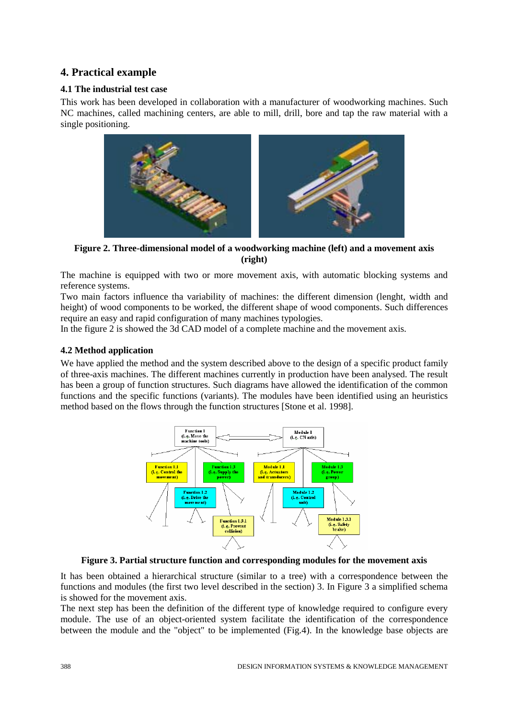# **4. Practical example**

### **4.1 The industrial test case**

This work has been developed in collaboration with a manufacturer of woodworking machines. Such NC machines, called machining centers, are able to mill, drill, bore and tap the raw material with a single positioning.



**Figure 2. Three-dimensional model of a woodworking machine (left) and a movement axis (right)** 

The machine is equipped with two or more movement axis, with automatic blocking systems and reference systems.

Two main factors influence tha variability of machines: the different dimension (lenght, width and height) of wood components to be worked, the different shape of wood components. Such differences require an easy and rapid configuration of many machines typologies.

In the figure 2 is showed the 3d CAD model of a complete machine and the movement axis.

### **4.2 Method application**

We have applied the method and the system described above to the design of a specific product family of three-axis machines. The different machines currently in production have been analysed. The result has been a group of function structures. Such diagrams have allowed the identification of the common functions and the specific functions (variants). The modules have been identified using an heuristics method based on the flows through the function structures [Stone et al. 1998].



**Figure 3. Partial structure function and corresponding modules for the movement axis** 

It has been obtained a hierarchical structure (similar to a tree) with a correspondence between the functions and modules (the first two level described in the section) 3. In Figure 3 a simplified schema is showed for the movement axis.

The next step has been the definition of the different type of knowledge required to configure every module. The use of an object-oriented system facilitate the identification of the correspondence between the module and the "object" to be implemented (Fig.4). In the knowledge base objects are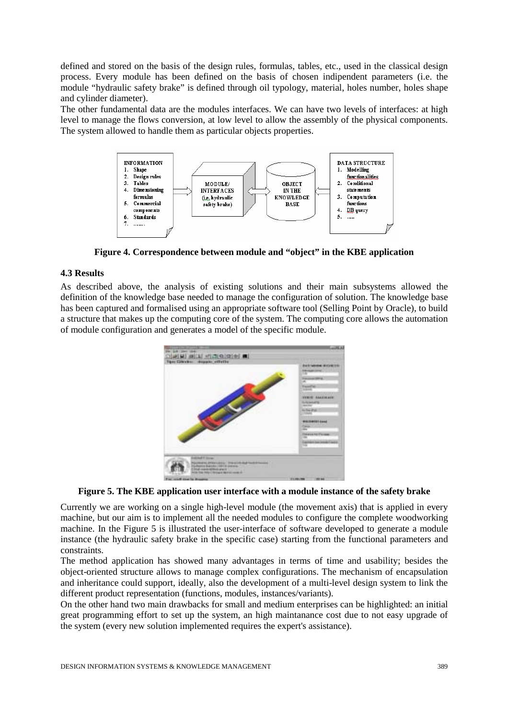defined and stored on the basis of the design rules, formulas, tables, etc., used in the classical design process. Every module has been defined on the basis of chosen indipendent parameters (i.e. the module "hydraulic safety brake" is defined through oil typology, material, holes number, holes shape and cylinder diameter).

The other fundamental data are the modules interfaces. We can have two levels of interfaces: at high level to manage the flows conversion, at low level to allow the assembly of the physical components. The system allowed to handle them as particular objects properties.



**Figure 4. Correspondence between module and "object" in the KBE application** 

#### **4.3 Results**

As described above, the analysis of existing solutions and their main subsystems allowed the definition of the knowledge base needed to manage the configuration of solution. The knowledge base has been captured and formalised using an appropriate software tool (Selling Point by Oracle), to build a structure that makes up the computing core of the system. The computing core allows the automation of module configuration and generates a model of the specific module.



**Figure 5. The KBE application user interface with a module instance of the safety brake** 

Currently we are working on a single high-level module (the movement axis) that is applied in every machine, but our aim is to implement all the needed modules to configure the complete woodworking machine. In the Figure 5 is illustrated the user-interface of software developed to generate a module instance (the hydraulic safety brake in the specific case) starting from the functional parameters and constraints.

The method application has showed many advantages in terms of time and usability; besides the object-oriented structure allows to manage complex configurations. The mechanism of encapsulation and inheritance could support, ideally, also the development of a multi-level design system to link the different product representation (functions, modules, instances/variants).

On the other hand two main drawbacks for small and medium enterprises can be highlighted: an initial great programming effort to set up the system, an high maintanance cost due to not easy upgrade of the system (every new solution implemented requires the expert's assistance).